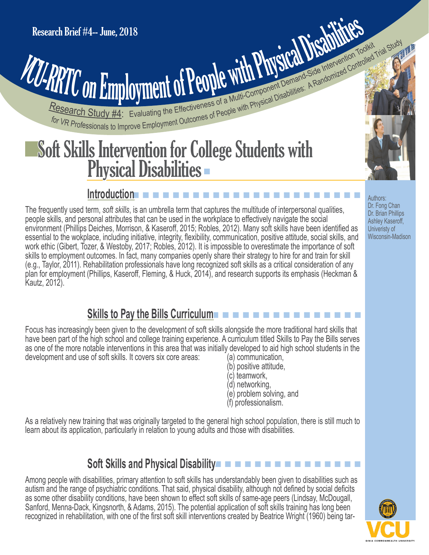# **PATTO On Employment of People With Physical Disabilities: A Randomized Controlled Trial Study of Article Study 44: Evaluating the Effectiveness of a Multi-Component Demand Side Intervention Toglicity Trial Study 1998** Research Brief #4-- June, 2018<br>
VCU-RRTC ON Employment of People with Physical Disabilities: A Randomized Control

## Soft Skills Intervention for College Students with Physical Disabilities

#### n n n n n n n n n n n n n n n n n n n n n n n **Introduction**

The frequently used term, *soft skills*, is an umbrella term that captures the multitude of interpersonal qualities, people skills, and personal attributes that can be used in the workplace to effectively navigate the social environment (Phillips Deiches, Morrison, & Kaseroff, 2015; Robles, 2012). Many soft skills have been identified as essential to the wokplace, including initiative, integrity, flexibility, communication, positive attitude, social skills, and work ethic (Gibert, Tozer, & Westoby, 2017; Robles, 2012). It is impossible to overestimate the importance of soft skills to employment outcomes. In fact, many companies openly share their strategy to hire for and train for skill (e.g., Taylor, 2011). Rehabilitation professionals have long recognized soft skills as a critical consideration of any plan for employment (Phillips, Kaseroff, Fleming, & Huck, 2014), and research supports its emphasis (Heckman & Kautz, 2012).

#### n n n n n n n n n n n n n n n  **Skills to Pay the Bills Curriculum**

Focus has increasingly been given to the development of soft skills alongside the more traditional hard skills that have been part of the high school and college training experience. A curriculum titled Skills to Pay the Bills serves as one of the more notable interventions in this area that was initially developed to aid high school students in the development and use of soft skills. It covers six core areas: (a) communication,

- (b) positive attitude,
- (c) teamwork,
- 
- (d) networking,<br>(e) problem solving, and
- (f) professionalism.

As a relatively new training that was originally targeted to the general high school population, there is still much to learn about its application, particularly in relation to young adults and those with disabilities.

### **Soft Skills and Physical Disability – – – – – – – – – – – – – – – –**

Among people with disabilities, primary attention to soft skills has understandably been given to disabilities such as autism and the range of psychiatric conditions. That said, physical disability, although not defined by social deficits as some other disability conditions, have been shown to effect soft skills of same-age peers (Lindsay, McDougall, Sanford, Menna-Dack, Kingsnorth, & Adams, 2015). The potential application of soft skills training has long been recognized in rehabilitation, with one of the first soft skill interventions created by Beatrice Wright (1960) being tar-



Authors: Dr. Fong Chan Dr. Brian Phillips Ashley Kaseroff, Univeristy of Wisconsin-Madison